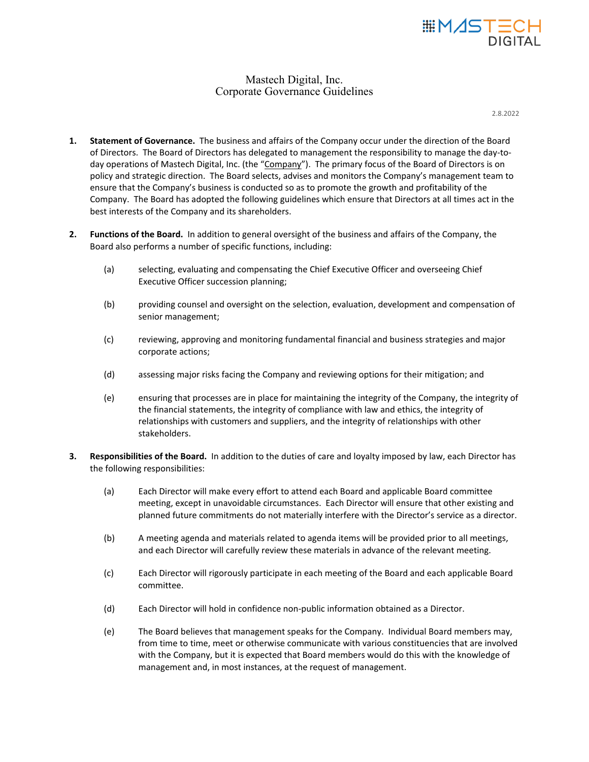

# Mastech Digital, Inc. Corporate Governance Guidelines

2.8.2022

- **1. Statement of Governance.** The business and affairs of the Company occur under the direction of the Board of Directors. The Board of Directors has delegated to management the responsibility to manage the day-today operations of Mastech Digital, Inc. (the "Company"). The primary focus of the Board of Directors is on policy and strategic direction. The Board selects, advises and monitors the Company's management team to ensure that the Company's business is conducted so as to promote the growth and profitability of the Company. The Board has adopted the following guidelines which ensure that Directors at all times act in the best interests of the Company and its shareholders.
- **2. Functions of the Board.** In addition to general oversight of the business and affairs of the Company, the Board also performs a number of specific functions, including:
	- (a) selecting, evaluating and compensating the Chief Executive Officer and overseeing Chief Executive Officer succession planning;
	- (b) providing counsel and oversight on the selection, evaluation, development and compensation of senior management;
	- (c) reviewing, approving and monitoring fundamental financial and business strategies and major corporate actions;
	- (d) assessing major risks facing the Company and reviewing options for their mitigation; and
	- (e) ensuring that processes are in place for maintaining the integrity of the Company, the integrity of the financial statements, the integrity of compliance with law and ethics, the integrity of relationships with customers and suppliers, and the integrity of relationships with other stakeholders.
- **3. Responsibilities of the Board.** In addition to the duties of care and loyalty imposed by law, each Director has the following responsibilities:
	- (a) Each Director will make every effort to attend each Board and applicable Board committee meeting, except in unavoidable circumstances. Each Director will ensure that other existing and planned future commitments do not materially interfere with the Director's service as a director.
	- (b) A meeting agenda and materials related to agenda items will be provided prior to all meetings, and each Director will carefully review these materials in advance of the relevant meeting.
	- (c) Each Director will rigorously participate in each meeting of the Board and each applicable Board committee.
	- (d) Each Director will hold in confidence non-public information obtained as a Director.
	- (e) The Board believes that management speaks for the Company. Individual Board members may, from time to time, meet or otherwise communicate with various constituencies that are involved with the Company, but it is expected that Board members would do this with the knowledge of management and, in most instances, at the request of management.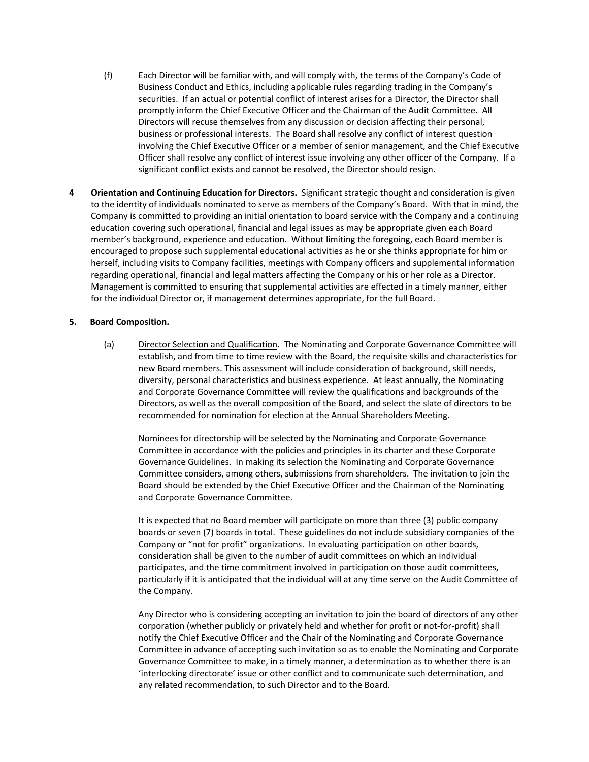- (f) Each Director will be familiar with, and will comply with, the terms of the Company's Code of Business Conduct and Ethics, including applicable rules regarding trading in the Company's securities. If an actual or potential conflict of interest arises for a Director, the Director shall promptly inform the Chief Executive Officer and the Chairman of the Audit Committee. All Directors will recuse themselves from any discussion or decision affecting their personal, business or professional interests. The Board shall resolve any conflict of interest question involving the Chief Executive Officer or a member of senior management, and the Chief Executive Officer shall resolve any conflict of interest issue involving any other officer of the Company. If a significant conflict exists and cannot be resolved, the Director should resign.
- **4 Orientation and Continuing Education for Directors.** Significant strategic thought and consideration is given to the identity of individuals nominated to serve as members of the Company's Board. With that in mind, the Company is committed to providing an initial orientation to board service with the Company and a continuing education covering such operational, financial and legal issues as may be appropriate given each Board member's background, experience and education. Without limiting the foregoing, each Board member is encouraged to propose such supplemental educational activities as he or she thinks appropriate for him or herself, including visits to Company facilities, meetings with Company officers and supplemental information regarding operational, financial and legal matters affecting the Company or his or her role as a Director. Management is committed to ensuring that supplemental activities are effected in a timely manner, either for the individual Director or, if management determines appropriate, for the full Board.

#### **5. Board Composition.**

(a) Director Selection and Qualification. The Nominating and Corporate Governance Committee will establish, and from time to time review with the Board, the requisite skills and characteristics for new Board members. This assessment will include consideration of background, skill needs, diversity, personal characteristics and business experience. At least annually, the Nominating and Corporate Governance Committee will review the qualifications and backgrounds of the Directors, as well as the overall composition of the Board, and select the slate of directors to be recommended for nomination for election at the Annual Shareholders Meeting.

Nominees for directorship will be selected by the Nominating and Corporate Governance Committee in accordance with the policies and principles in its charter and these Corporate Governance Guidelines. In making its selection the Nominating and Corporate Governance Committee considers, among others, submissions from shareholders. The invitation to join the Board should be extended by the Chief Executive Officer and the Chairman of the Nominating and Corporate Governance Committee.

It is expected that no Board member will participate on more than three (3) public company boards or seven (7) boards in total. These guidelines do not include subsidiary companies of the Company or "not for profit" organizations. In evaluating participation on other boards, consideration shall be given to the number of audit committees on which an individual participates, and the time commitment involved in participation on those audit committees, particularly if it is anticipated that the individual will at any time serve on the Audit Committee of the Company.

Any Director who is considering accepting an invitation to join the board of directors of any other corporation (whether publicly or privately held and whether for profit or not-for-profit) shall notify the Chief Executive Officer and the Chair of the Nominating and Corporate Governance Committee in advance of accepting such invitation so as to enable the Nominating and Corporate Governance Committee to make, in a timely manner, a determination as to whether there is an 'interlocking directorate' issue or other conflict and to communicate such determination, and any related recommendation, to such Director and to the Board.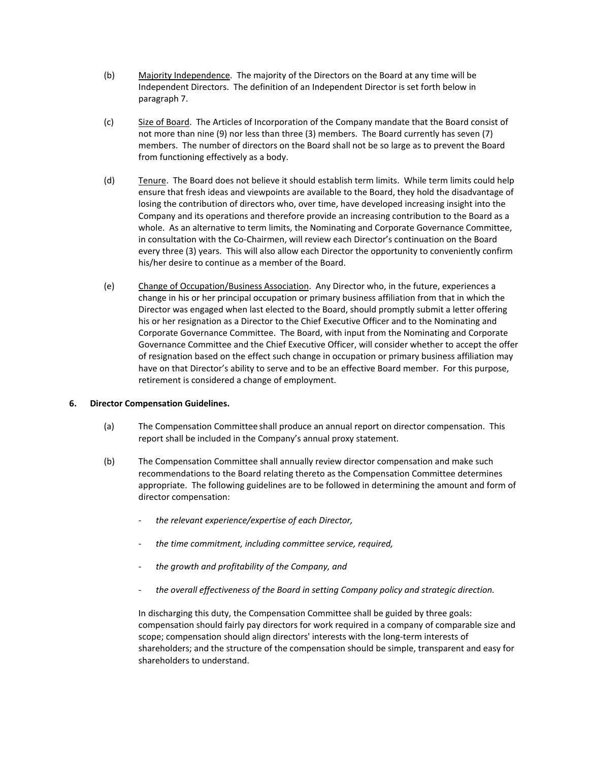- (b) Majority Independence.The majority of the Directors on the Board at any time will be Independent Directors. The definition of an Independent Director is set forth below in paragraph 7.
- (c) Size of Board. The Articles of Incorporation of the Company mandate that the Board consist of not more than nine (9) nor less than three (3) members. The Board currently has seven (7) members. The number of directors on the Board shall not be so large as to prevent the Board from functioning effectively as a body.
- (d) Tenure. The Board does not believe it should establish term limits. While term limits could help ensure that fresh ideas and viewpoints are available to the Board, they hold the disadvantage of losing the contribution of directors who, over time, have developed increasing insight into the Company and its operations and therefore provide an increasing contribution to the Board as a whole. As an alternative to term limits, the Nominating and Corporate Governance Committee, in consultation with the Co-Chairmen, will review each Director's continuation on the Board every three (3) years. This will also allow each Director the opportunity to conveniently confirm his/her desire to continue as a member of the Board.
- (e) Change of Occupation/Business Association. Any Director who, in the future, experiences a change in his or her principal occupation or primary business affiliation from that in which the Director was engaged when last elected to the Board, should promptly submit a letter offering his or her resignation as a Director to the Chief Executive Officer and to the Nominating and Corporate Governance Committee. The Board, with input from the Nominating and Corporate Governance Committee and the Chief Executive Officer, will consider whether to accept the offer of resignation based on the effect such change in occupation or primary business affiliation may have on that Director's ability to serve and to be an effective Board member. For this purpose, retirement is considered a change of employment.

## **6. Director Compensation Guidelines.**

- (a) The Compensation Committee shall produce an annual report on director compensation. This report shall be included in the Company's annual proxy statement.
- (b) The Compensation Committee shall annually review director compensation and make such recommendations to the Board relating thereto as the Compensation Committee determines appropriate. The following guidelines are to be followed in determining the amount and form of director compensation:
	- *the relevant experience/expertise of each Director,*
	- *the time commitment, including committee service, required,*
	- *the growth and profitability of the Company, and*
	- *the overall effectiveness of the Board in setting Company policy and strategic direction.*

In discharging this duty, the Compensation Committee shall be guided by three goals: compensation should fairly pay directors for work required in a company of comparable size and scope; compensation should align directors' interests with the long-term interests of shareholders; and the structure of the compensation should be simple, transparent and easy for shareholders to understand.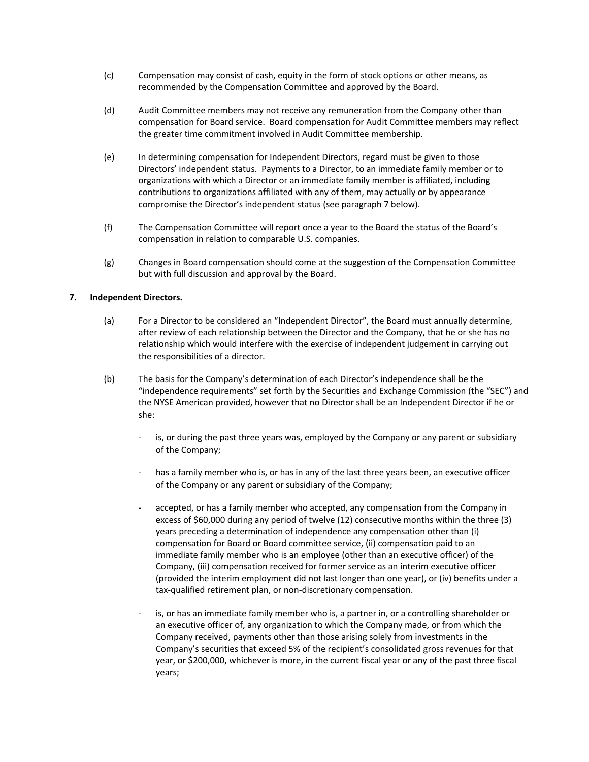- (c) Compensation may consist of cash, equity in the form of stock options or other means, as recommended by the Compensation Committee and approved by the Board.
- (d) Audit Committee members may not receive any remuneration from the Company other than compensation for Board service. Board compensation for Audit Committee members may reflect the greater time commitment involved in Audit Committee membership.
- (e) In determining compensation for Independent Directors, regard must be given to those Directors' independent status. Payments to a Director, to an immediate family member or to organizations with which a Director or an immediate family member is affiliated, including contributions to organizations affiliated with any of them, may actually or by appearance compromise the Director's independent status (see paragraph 7 below).
- (f) The Compensation Committee will report once a year to the Board the status of the Board's compensation in relation to comparable U.S. companies.
- (g) Changes in Board compensation should come at the suggestion of the Compensation Committee but with full discussion and approval by the Board.

#### **7. Independent Directors.**

- (a) For a Director to be considered an "Independent Director", the Board must annually determine, after review of each relationship between the Director and the Company, that he or she has no relationship which would interfere with the exercise of independent judgement in carrying out the responsibilities of a director.
- (b) The basis for the Company's determination of each Director's independence shall be the "independence requirements" set forth by the Securities and Exchange Commission (the "SEC") and the NYSE American provided, however that no Director shall be an Independent Director if he or she:
	- is, or during the past three years was, employed by the Company or any parent or subsidiary of the Company;
	- has a family member who is, or has in any of the last three years been, an executive officer of the Company or any parent or subsidiary of the Company;
	- accepted, or has a family member who accepted, any compensation from the Company in excess of \$60,000 during any period of twelve (12) consecutive months within the three (3) years preceding a determination of independence any compensation other than (i) compensation for Board or Board committee service, (ii) compensation paid to an immediate family member who is an employee (other than an executive officer) of the Company, (iii) compensation received for former service as an interim executive officer (provided the interim employment did not last longer than one year), or (iv) benefits under a tax-qualified retirement plan, or non-discretionary compensation.
	- is, or has an immediate family member who is, a partner in, or a controlling shareholder or an executive officer of, any organization to which the Company made, or from which the Company received, payments other than those arising solely from investments in the Company's securities that exceed 5% of the recipient's consolidated gross revenues for that year, or \$200,000, whichever is more, in the current fiscal year or any of the past three fiscal years;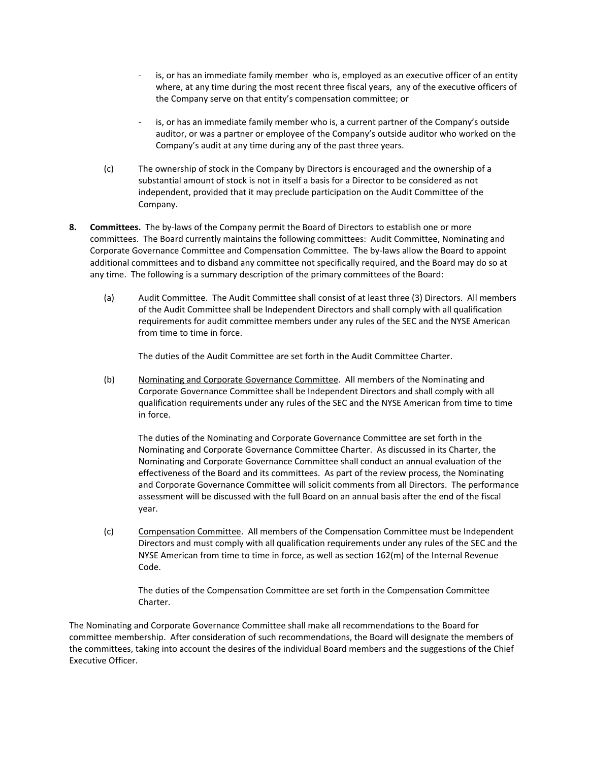- is, or has an immediate family member who is, employed as an executive officer of an entity where, at any time during the most recent three fiscal years, any of the executive officers of the Company serve on that entity's compensation committee; or
- is, or has an immediate family member who is, a current partner of the Company's outside auditor, or was a partner or employee of the Company's outside auditor who worked on the Company's audit at any time during any of the past three years.
- (c) The ownership of stock in the Company by Directors is encouraged and the ownership of a substantial amount of stock is not in itself a basis for a Director to be considered as not independent, provided that it may preclude participation on the Audit Committee of the Company.
- **8. Committees.** The by-laws of the Company permit the Board of Directors to establish one or more committees. The Board currently maintains the following committees: Audit Committee, Nominating and Corporate Governance Committee and Compensation Committee. The by-laws allow the Board to appoint additional committees and to disband any committee not specifically required, and the Board may do so at any time. The following is a summary description of the primary committees of the Board:
	- (a) Audit Committee. The Audit Committee shall consist of at least three (3) Directors. All members of the Audit Committee shall be Independent Directors and shall comply with all qualification requirements for audit committee members under any rules of the SEC and the NYSE American from time to time in force.

The duties of the Audit Committee are set forth in the Audit Committee Charter.

(b) Nominating and Corporate Governance Committee. All members of the Nominating and Corporate Governance Committee shall be Independent Directors and shall comply with all qualification requirements under any rules of the SEC and the NYSE American from time to time in force.

The duties of the Nominating and Corporate Governance Committee are set forth in the Nominating and Corporate Governance Committee Charter. As discussed in its Charter, the Nominating and Corporate Governance Committee shall conduct an annual evaluation of the effectiveness of the Board and its committees. As part of the review process, the Nominating and Corporate Governance Committee will solicit comments from all Directors. The performance assessment will be discussed with the full Board on an annual basis after the end of the fiscal year.

(c) Compensation Committee. All members of the Compensation Committee must be Independent Directors and must comply with all qualification requirements under any rules of the SEC and the NYSE American from time to time in force, as well as section 162(m) of the Internal Revenue Code.

The duties of the Compensation Committee are set forth in the Compensation Committee Charter.

The Nominating and Corporate Governance Committee shall make all recommendations to the Board for committee membership. After consideration of such recommendations, the Board will designate the members of the committees, taking into account the desires of the individual Board members and the suggestions of the Chief Executive Officer.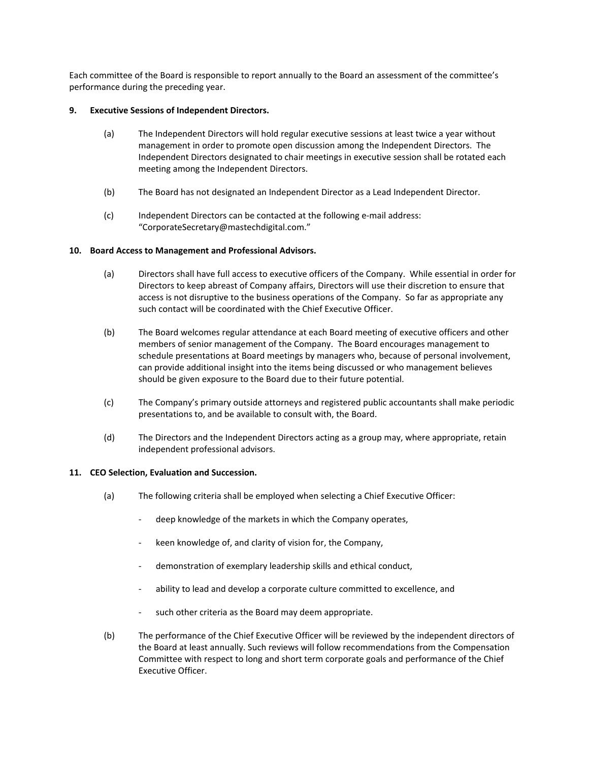Each committee of the Board is responsible to report annually to the Board an assessment of the committee's performance during the preceding year.

### **9. Executive Sessions of Independent Directors.**

- (a) The Independent Directors will hold regular executive sessions at least twice a year without management in order to promote open discussion among the Independent Directors. The Independent Directors designated to chair meetings in executive session shall be rotated each meeting among the Independent Directors.
- (b) The Board has not designated an Independent Director as a Lead Independent Director.
- (c) Independent Directors can be contacted at the following e-mail address: "CorporateSecretary@mastechdigital.com."

#### **10. Board Access to Management and Professional Advisors.**

- (a) Directors shall have full access to executive officers of the Company. While essential in order for Directors to keep abreast of Company affairs, Directors will use their discretion to ensure that access is not disruptive to the business operations of the Company. So far as appropriate any such contact will be coordinated with the Chief Executive Officer.
- (b) The Board welcomes regular attendance at each Board meeting of executive officers and other members of senior management of the Company. The Board encourages management to schedule presentations at Board meetings by managers who, because of personal involvement, can provide additional insight into the items being discussed or who management believes should be given exposure to the Board due to their future potential.
- (c) The Company's primary outside attorneys and registered public accountants shall make periodic presentations to, and be available to consult with, the Board.
- (d) The Directors and the Independent Directors acting as a group may, where appropriate, retain independent professional advisors.

#### **11. CEO Selection, Evaluation and Succession.**

- (a) The following criteria shall be employed when selecting a Chief Executive Officer:
	- deep knowledge of the markets in which the Company operates,
	- keen knowledge of, and clarity of vision for, the Company,
	- demonstration of exemplary leadership skills and ethical conduct,
	- ability to lead and develop a corporate culture committed to excellence, and
	- such other criteria as the Board may deem appropriate.
- (b) The performance of the Chief Executive Officer will be reviewed by the independent directors of the Board at least annually. Such reviews will follow recommendations from the Compensation Committee with respect to long and short term corporate goals and performance of the Chief Executive Officer.